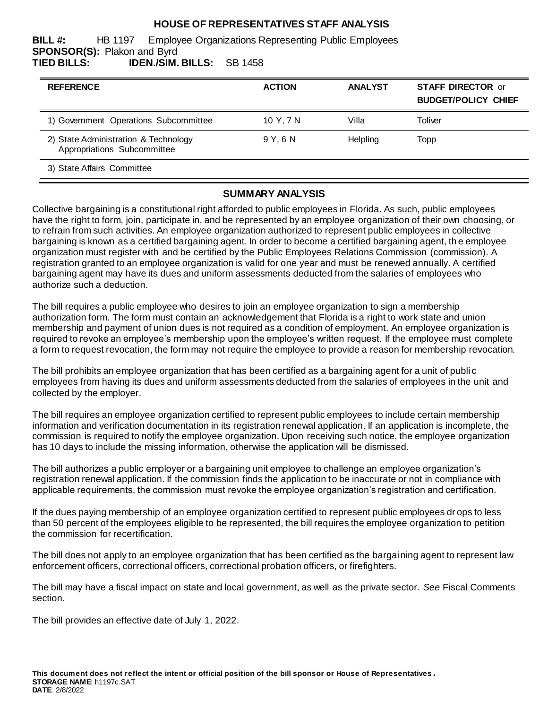## **HOUSE OF REPRESENTATIVES STAFF ANALYSIS**

**BILL #:** HB 1197 Employee Organizations Representing Public Employees **SPONSOR(S):** Plakon and Byrd **TIED BILLS: IDEN./SIM. BILLS:** SB 1458

| <b>REFERENCE</b>                                                    | <b>ACTION</b> | <b>ANALYST</b> | <b>STAFF DIRECTOR or</b><br><b>BUDGET/POLICY CHIEF</b> |
|---------------------------------------------------------------------|---------------|----------------|--------------------------------------------------------|
| 1) Government Operations Subcommittee                               | 10 Y, 7 N     | Villa          | Toliver                                                |
| 2) State Administration & Technology<br>Appropriations Subcommittee | 9 Y.G N       | Helpling       | Topp                                                   |
| 3) State Affairs Committee                                          |               |                |                                                        |

## **SUMMARY ANALYSIS**

Collective bargaining is a constitutional right afforded to public employees in Florida. As such, public employees have the right to form, join, participate in, and be represented by an employee organization of their own choosing, or to refrain from such activities. An employee organization authorized to represent public employees in collective bargaining is known as a certified bargaining agent. In order to become a certified bargaining agent, th e employee organization must register with and be certified by the Public Employees Relations Commission (commission). A registration granted to an employee organization is valid for one year and must be renewed annually. A certified bargaining agent may have its dues and uniform assessments deducted from the salaries of employees who authorize such a deduction.

The bill requires a public employee who desires to join an employee organization to sign a membership authorization form. The form must contain an acknowledgement that Florida is a right to work state and union membership and payment of union dues is not required as a condition of employment. An employee organization is required to revoke an employee's membership upon the employee's written request. If the employee must complete a form to request revocation, the form may not require the employee to provide a reason for membership revocation.

The bill prohibits an employee organization that has been certified as a bargaining agent for a unit of publi c employees from having its dues and uniform assessments deducted from the salaries of employees in the unit and collected by the employer.

The bill requires an employee organization certified to represent public employees to include certain membership information and verification documentation in its registration renewal application. If an application is incomplete, the commission is required to notify the employee organization. Upon receiving such notice, the employee organization has 10 days to include the missing information, otherwise the application will be dismissed.

The bill authorizes a public employer or a bargaining unit employee to challenge an employee organization's registration renewal application. If the commission finds the application to be inaccurate or not in compliance with applicable requirements, the commission must revoke the employee organization's registration and certification.

If the dues paying membership of an employee organization certified to represent public employees dr ops to less than 50 percent of the employees eligible to be represented, the bill requires the employee organization to petition the commission for recertification.

The bill does not apply to an employee organization that has been certified as the bargaining agent to represent law enforcement officers, correctional officers, correctional probation officers, or firefighters.

The bill may have a fiscal impact on state and local government, as well as the private sector. *See* Fiscal Comments section.

The bill provides an effective date of July 1, 2022.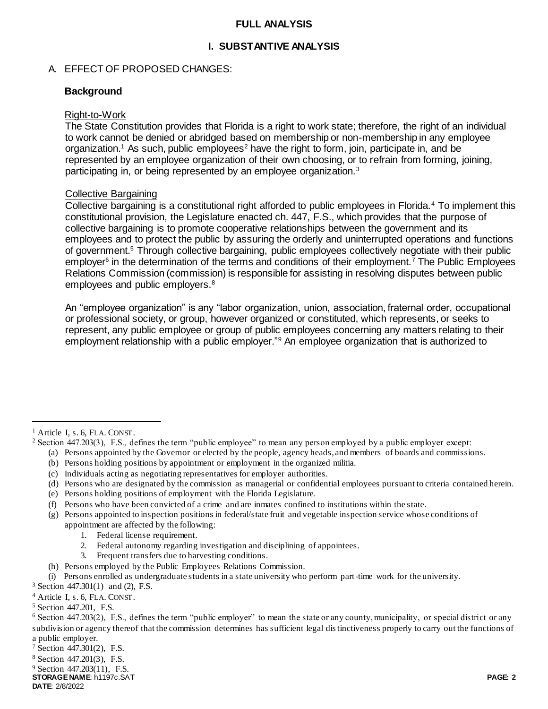#### **FULL ANALYSIS**

## **I. SUBSTANTIVE ANALYSIS**

### A. EFFECT OF PROPOSED CHANGES:

### **Background**

#### Right-to-Work

The State Constitution provides that Florida is a right to work state; therefore, the right of an individual to work cannot be denied or abridged based on membership or non-membership in any employee organization.<sup>1</sup> As such, public employees<sup>2</sup> have the right to form, join, participate in, and be represented by an employee organization of their own choosing, or to refrain from forming, joining, participating in, or being represented by an employee organization.<sup>3</sup>

### Collective Bargaining

Collective bargaining is a constitutional right afforded to public employees in Florida.<sup>4</sup> To implement this constitutional provision, the Legislature enacted ch. 447, F.S., which provides that the purpose of collective bargaining is to promote cooperative relationships between the government and its employees and to protect the public by assuring the orderly and uninterrupted operations and functions of government.<sup>5</sup> Through collective bargaining, public employees collectively negotiate with their public employer<sup>6</sup> in the determination of the terms and conditions of their employment.<sup>7</sup> The Public Employees Relations Commission (commission) is responsible for assisting in resolving disputes between public employees and public employers.<sup>8</sup>

An "employee organization" is any "labor organization, union, association, fraternal order, occupational or professional society, or group, however organized or constituted, which represents, or seeks to represent, any public employee or group of public employees concerning any matters relating to their employment relationship with a public employer."<sup>9</sup> An employee organization that is authorized to

 $\overline{a}$ 

- (a) Persons appointed by the Governor or elected by the people, agency heads, and members of boards and commissions.
- (b) Persons holding positions by appointment or employment in the organized militia.
- (c) Individuals acting as negotiating representatives for employer authorities.
- (d) Persons who are designated by the commission as managerial or confidential employees pursuant to criteria contained herein.
- (e) Persons holding positions of employment with the Florida Legislature.
- (f) Persons who have been convicted of a crime and are inmates confined to institutions within the state.
- (g) Persons appointed to inspection positions in federal/state fruit and vegetable inspection service whose conditions of appointment are affected by the following:
	- 1. Federal license requirement.
	- 2. Federal autonomy regarding investigation and disciplining of appointees.
	- 3. Frequent transfers due to harvesting conditions.
- (h) Persons employed by the Public Employees Relations Commission.
- (i) Persons enrolled as undergraduate students in a state university who perform part-time work for the university.

<sup>3</sup> Section 447.301(1) and (2), F.S.

<sup>4</sup> Article I, s. 6, FLA. CONST.

- <sup>5</sup> Section 447.201, F.S.
- $6$  Section 447.203(2), F.S., defines the term "public employer" to mean the state or any county, municipality, or special district or any subdivision or agency thereof that the commission determines has sufficient legal distinctiveness properly to carry out the functions of a public employer.
- <sup>7</sup> Section 447.301(2), F.S.

<sup>8</sup> Section 447.201(3), F.S.

<sup>9</sup> Section 447.203(11), F.S.

**STORAGE NAME**: h1197c.SAT **PAGE: 2 DATE**: 2/8/2022

<sup>&</sup>lt;sup>1</sup> Article I, s. 6, FLA. CONST.

<sup>2</sup> Section 447.203(3), F.S., defines the term "public employee" to mean any person employed by a public employer except: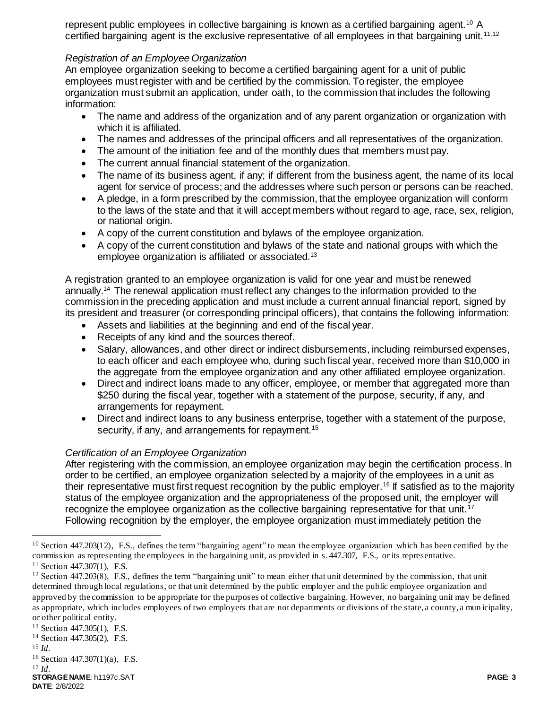represent public employees in collective bargaining is known as a certified bargaining agent.<sup>10</sup> A certified bargaining agent is the exclusive representative of all employees in that bargaining unit.<sup>11,12</sup>

## *Registration of an Employee Organization*

An employee organization seeking to become a certified bargaining agent for a unit of public employees must register with and be certified by the commission. To register, the employee organization must submit an application, under oath, to the commission that includes the following information:

- The name and address of the organization and of any parent organization or organization with which it is affiliated.
- The names and addresses of the principal officers and all representatives of the organization.
- The amount of the initiation fee and of the monthly dues that members must pay.
- The current annual financial statement of the organization.
- The name of its business agent, if any; if different from the business agent, the name of its local agent for service of process; and the addresses where such person or persons can be reached.
- A pledge, in a form prescribed by the commission, that the employee organization will conform to the laws of the state and that it will accept members without regard to age, race, sex, religion, or national origin.
- A copy of the current constitution and bylaws of the employee organization.
- A copy of the current constitution and bylaws of the state and national groups with which the employee organization is affiliated or associated.<sup>13</sup>

A registration granted to an employee organization is valid for one year and must be renewed annually.<sup>14</sup> The renewal application must reflect any changes to the information provided to the commission in the preceding application and must include a current annual financial report, signed by its president and treasurer (or corresponding principal officers), that contains the following information:

- Assets and liabilities at the beginning and end of the fiscal year.
- Receipts of any kind and the sources thereof.
- Salary, allowances, and other direct or indirect disbursements, including reimbursed expenses, to each officer and each employee who, during such fiscal year, received more than \$10,000 in the aggregate from the employee organization and any other affiliated employee organization.
- Direct and indirect loans made to any officer, employee, or member that aggregated more than \$250 during the fiscal year, together with a statement of the purpose, security, if any, and arrangements for repayment.
- Direct and indirect loans to any business enterprise, together with a statement of the purpose, security, if any, and arrangements for repayment.<sup>15</sup>

## *Certification of an Employee Organization*

After registering with the commission, an employee organization may begin the certification process. In order to be certified, an employee organization selected by a majority of the employees in a unit as their representative must first request recognition by the public employer.<sup>16</sup> If satisfied as to the majority status of the employee organization and the appropriateness of the proposed unit, the employer will recognize the employee organization as the collective bargaining representative for that unit.<sup>17</sup> Following recognition by the employer, the employee organization must immediately petition the

<sup>13</sup> Section 447.305(1), F.S.

 $\overline{a}$ 

**STORAGE NAME**: h1197c.SAT **PAGE: 3 DATE**: 2/8/2022 <sup>17</sup> *Id.*

 $10$  Section 447.203(12), F.S., defines the term "bargaining agent" to mean the employee organization which has been certified by the commission as representing the employees in the bargaining unit, as provided in s. 447.307, F.S., or its representative.

<sup>11</sup> Section 447.307(1), F.S.

 $12$  Section 447.203(8), F.S., defines the term "bargaining unit" to mean either that unit determined by the commission, that unit determined through local regulations, or that unit determined by the public employer and the public employee organization and approved by the commission to be appropriate for the purposes of collective bargaining. However, no bargaining unit may be defined as appropriate, which includes employees of two employers that are not departments or divisions of the state, a county, a mun icipality, or other political entity.

<sup>14</sup> Section 447.305(2), F.S.

<sup>15</sup> *Id.* 

<sup>16</sup> Section 447.307(1)(a), F.S.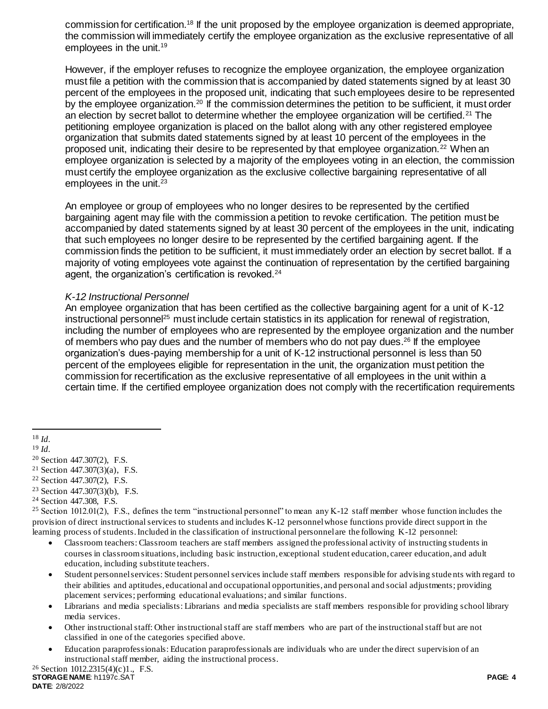commission for certification.<sup>18</sup> If the unit proposed by the employee organization is deemed appropriate, the commission will immediately certify the employee organization as the exclusive representative of all employees in the unit.<sup>19</sup>

However, if the employer refuses to recognize the employee organization, the employee organization must file a petition with the commission that is accompanied by dated statements signed by at least 30 percent of the employees in the proposed unit, indicating that such employees desire to be represented by the employee organization.<sup>20</sup> If the commission determines the petition to be sufficient, it must order an election by secret ballot to determine whether the employee organization will be certified.<sup>21</sup> The petitioning employee organization is placed on the ballot along with any other registered employee organization that submits dated statements signed by at least 10 percent of the employees in the proposed unit, indicating their desire to be represented by that employee organization.<sup>22</sup> When an employee organization is selected by a majority of the employees voting in an election, the commission must certify the employee organization as the exclusive collective bargaining representative of all employees in the unit. $23$ 

An employee or group of employees who no longer desires to be represented by the certified bargaining agent may file with the commission a petition to revoke certification. The petition must be accompanied by dated statements signed by at least 30 percent of the employees in the unit, indicating that such employees no longer desire to be represented by the certified bargaining agent. If the commission finds the petition to be sufficient, it must immediately order an election by secret ballot. If a majority of voting employees vote against the continuation of representation by the certified bargaining agent, the organization's certification is revoked.<sup>24</sup>

### *K-12 Instructional Personnel*

An employee organization that has been certified as the collective bargaining agent for a unit of K-12 instructional personnel<sup>25</sup> must include certain statistics in its application for renewal of registration, including the number of employees who are represented by the employee organization and the number of members who pay dues and the number of members who do not pay dues.<sup>26</sup> If the employee organization's dues-paying membership for a unit of K-12 instructional personnel is less than 50 percent of the employees eligible for representation in the unit, the organization must petition the commission for recertification as the exclusive representative of all employees in the unit within a certain time. If the certified employee organization does not comply with the recertification requirements

 $\overline{a}$ 

- <sup>22</sup> Section 447.307(2), F.S.
- <sup>23</sup> Section 447.307(3)(b), F.S.
- <sup>24</sup> Section 447.308, F.S.

- Classroom teachers: Classroom teachers are staff members assigned the professional activity of instructing students in courses in classroom situations, including basic instruction, exceptional student education, career education, and adult education, including substitute teachers.
- Student personnel services: Student personnel services include staff members responsible for advising stude nts with regard to their abilities and aptitudes, educational and occupational opportunities, and personal and social adjustments; providing placement services; performing educational evaluations; and similar functions.
- Librarians and media specialists: Librarians and media specialists are staff members responsible for providing school library media services.
- Other instructional staff: Other instructional staff are staff members who are part of the instructional staff but are not classified in one of the categories specified above.
- Education paraprofessionals: Education paraprofessionals are individuals who are under the direct supervision of an instructional staff member, aiding the instructional process.

<sup>18</sup> *Id.* 

<sup>19</sup> *Id.* 

<sup>20</sup> Section 447.307(2), F.S.

<sup>&</sup>lt;sup>21</sup> Section 447.307(3)(a), F.S.

<sup>&</sup>lt;sup>25</sup> Section 1012.01(2), F.S., defines the term "instructional personnel" to mean any K-12 staff member whose function includes the provision of direct instructional services to students and includes K-12 personnel whose functions provide direct support in the learning process of students. Included in the classification of instructional personnel are the following K-12 personnel: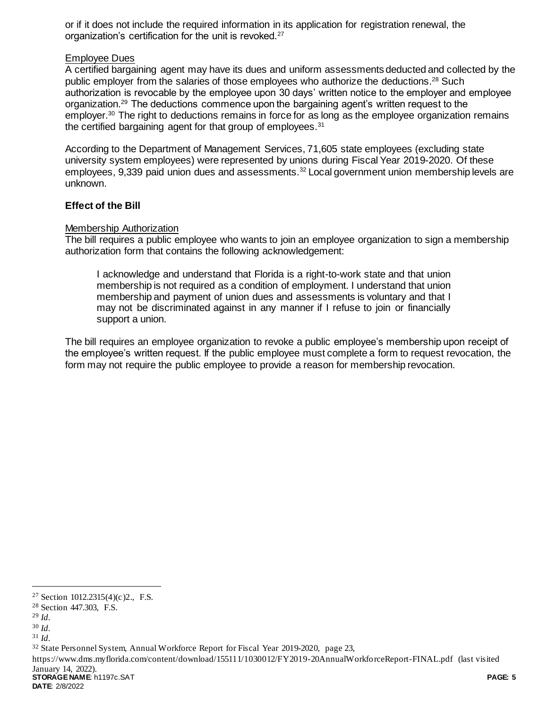or if it does not include the required information in its application for registration renewal, the organization's certification for the unit is revoked.<sup>27</sup>

### Employee Dues

A certified bargaining agent may have its dues and uniform assessments deducted and collected by the public employer from the salaries of those employees who authorize the deductions.<sup>28</sup> Such authorization is revocable by the employee upon 30 days' written notice to the employer and employee organization.<sup>29</sup> The deductions commence upon the bargaining agent's written request to the employer.<sup>30</sup> The right to deductions remains in force for as long as the employee organization remains the certified bargaining agent for that group of employees.<sup>31</sup>

According to the Department of Management Services, 71,605 state employees (excluding state university system employees) were represented by unions during Fiscal Year 2019-2020. Of these employees, 9,339 paid union dues and assessments.<sup>32</sup> Local government union membership levels are unknown.

### **Effect of the Bill**

### Membership Authorization

The bill requires a public employee who wants to join an employee organization to sign a membership authorization form that contains the following acknowledgement:

I acknowledge and understand that Florida is a right-to-work state and that union membership is not required as a condition of employment. I understand that union membership and payment of union dues and assessments is voluntary and that I may not be discriminated against in any manner if I refuse to join or financially support a union.

The bill requires an employee organization to revoke a public employee's membership upon receipt of the employee's written request. If the public employee must complete a form to request revocation, the form may not require the public employee to provide a reason for membership revocation.

l

**STORAGE NAME**: h1197c.SAT **PAGE: 5** https://www.dms.myflorida.com/content/download/155111/1030012/FY2019-20AnnualWorkforceReport-FINAL.pdf (last visited January 14, 2022).

**DATE**: 2/8/2022

<sup>27</sup> Section 1012.2315(4)(c)2., F.S.

<sup>28</sup> Section 447.303, F.S.

<sup>29</sup> *Id.* 

<sup>30</sup> *Id.* 

<sup>31</sup> *Id.* 

<sup>32</sup> State Personnel System, Annual Workforce Report for Fiscal Year 2019-2020, page 23,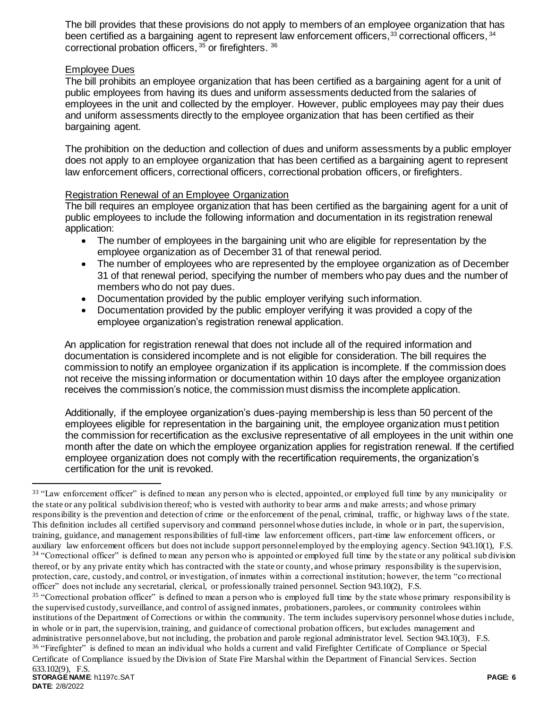The bill provides that these provisions do not apply to members of an employee organization that has been certified as a bargaining agent to represent law enforcement officers,<sup>33</sup> correctional officers, <sup>34</sup> correctional probation officers, <sup>35</sup> or firefighters. <sup>36</sup>

## Employee Dues

The bill prohibits an employee organization that has been certified as a bargaining agent for a unit of public employees from having its dues and uniform assessments deducted from the salaries of employees in the unit and collected by the employer. However, public employees may pay their dues and uniform assessments directly to the employee organization that has been certified as their bargaining agent.

The prohibition on the deduction and collection of dues and uniform assessments by a public employer does not apply to an employee organization that has been certified as a bargaining agent to represent law enforcement officers, correctional officers, correctional probation officers, or firefighters.

## Registration Renewal of an Employee Organization

The bill requires an employee organization that has been certified as the bargaining agent for a unit of public employees to include the following information and documentation in its registration renewal application:

- The number of employees in the bargaining unit who are eligible for representation by the employee organization as of December 31 of that renewal period.
- The number of employees who are represented by the employee organization as of December 31 of that renewal period, specifying the number of members who pay dues and the number of members who do not pay dues.
- Documentation provided by the public employer verifying such information.
- Documentation provided by the public employer verifying it was provided a copy of the employee organization's registration renewal application.

An application for registration renewal that does not include all of the required information and documentation is considered incomplete and is not eligible for consideration. The bill requires the commission to notify an employee organization if its application is incomplete. If the commission does not receive the missing information or documentation within 10 days after the employee organization receives the commission's notice, the commission must dismiss the incomplete application.

Additionally, if the employee organization's dues-paying membership is less than 50 percent of the employees eligible for representation in the bargaining unit, the employee organization must petition the commission for recertification as the exclusive representative of all employees in the unit within one month after the date on which the employee organization applies for registration renewal. If the certified employee organization does not comply with the recertification requirements, the organization's certification for the unit is revoked.

Certificate of Compliance issued by the Division of State Fire Marshal within the Department of Financial Services. Section 633.102(9), F.S.

 $\overline{a}$ 

<sup>&</sup>lt;sup>33</sup> "Law enforcement officer" is defined to mean any person who is elected, appointed, or employed full time by any municipality or the state or any political subdivision thereof; who is vested with authority to bear arms and make arrests; and whose primary responsibility is the prevention and detection of crime or the enforcement of the penal, criminal, traffic, or highway laws o f the state. This definition includes all certified supervisory and command personnel whose duties include, in whole or in part, the supervision, training, guidance, and management responsibilities of full-time law enforcement officers, part-time law enforcement officers, or auxiliary law enforcement officers but does not include support personnel employed by the employing agency. Section 943.10(1), F.S. <sup>34</sup> "Correctional officer" is defined to mean any person who is appointed or employed full time by the state or any political sub division thereof, or by any private entity which has contracted with the state or county, and whose primary responsibility is the supervision, protection, care, custody, and control, or investigation, of inmates within a correctional institution; however, the term "co rrectional officer" does not include any secretarial, clerical, or professionally trained personnel. Section 943.10(2), F.S.

<sup>&</sup>lt;sup>35</sup> "Correctional probation officer" is defined to mean a person who is employed full time by the state whose primary responsibility is the supervised custody, surveillance, and control of assigned inmates, probationers, parolees, or community controlees within institutions of the Department of Corrections or within the community. The term includes supervisory personnel whose duties include, in whole or in part, the supervision, training, and guidance of correctional probation officers, but excludes management and administrative personnel above, but not including, the probation and parole regional administrator level. Section 943.10(3), F.S. <sup>36</sup> "Firefighter" is defined to mean an individual who holds a current and valid Firefighter Certificate of Compliance or Special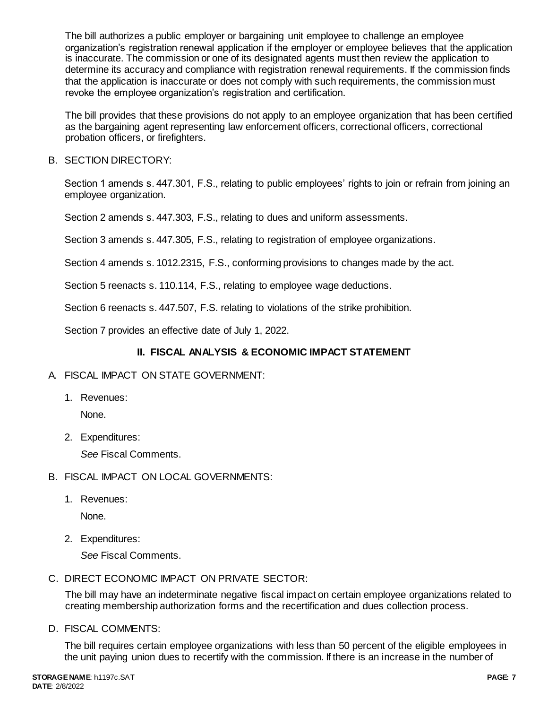The bill authorizes a public employer or bargaining unit employee to challenge an employee organization's registration renewal application if the employer or employee believes that the application is inaccurate. The commission or one of its designated agents must then review the application to determine its accuracy and compliance with registration renewal requirements. If the commission finds that the application is inaccurate or does not comply with such requirements, the commission must revoke the employee organization's registration and certification.

The bill provides that these provisions do not apply to an employee organization that has been certified as the bargaining agent representing law enforcement officers, correctional officers, correctional probation officers, or firefighters.

B. SECTION DIRECTORY:

Section 1 amends s. 447.301, F.S., relating to public employees' rights to join or refrain from joining an employee organization.

Section 2 amends s. 447.303, F.S., relating to dues and uniform assessments.

Section 3 amends s. 447.305, F.S., relating to registration of employee organizations.

Section 4 amends s. 1012.2315, F.S., conforming provisions to changes made by the act.

Section 5 reenacts s. 110.114, F.S., relating to employee wage deductions.

Section 6 reenacts s. 447.507, F.S. relating to violations of the strike prohibition.

Section 7 provides an effective date of July 1, 2022.

## **II. FISCAL ANALYSIS & ECONOMIC IMPACT STATEMENT**

- A. FISCAL IMPACT ON STATE GOVERNMENT:
	- 1. Revenues:

None.

2. Expenditures:

*See* Fiscal Comments.

- B. FISCAL IMPACT ON LOCAL GOVERNMENTS:
	- 1. Revenues:

None.

2. Expenditures:

*See* Fiscal Comments.

C. DIRECT ECONOMIC IMPACT ON PRIVATE SECTOR:

The bill may have an indeterminate negative fiscal impact on certain employee organizations related to creating membership authorization forms and the recertification and dues collection process.

D. FISCAL COMMENTS:

The bill requires certain employee organizations with less than 50 percent of the eligible employees in the unit paying union dues to recertify with the commission. If there is an increase in the number of